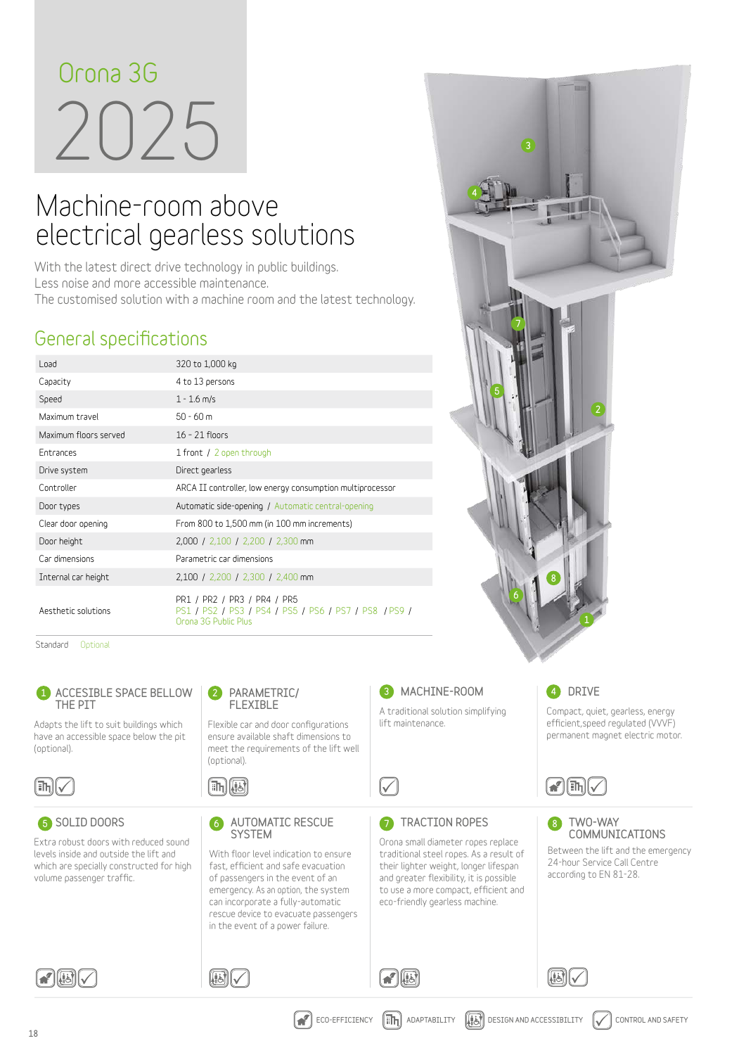# 2025 **Orona 3G**

# Machine-room above electrical gearless solutions

**With the latest direct drive technology in public buildings. Less noise and more accessible maintenance. The customised solution with a machine room and the latest technology.**

# **General specifications**

| Load                  | 320 to 1,000 kg                                                                                              |
|-----------------------|--------------------------------------------------------------------------------------------------------------|
| Capacity              | 4 to 13 persons                                                                                              |
| Speed                 | $1 - 1.6$ m/s                                                                                                |
| Maximum travel        | $50 - 60$ m                                                                                                  |
| Maximum floors served | $16 - 21$ floors                                                                                             |
| <b>Entrances</b>      | 1 front / 2 open through                                                                                     |
| Drive system          | Direct gearless                                                                                              |
| Controller            | ARCA II controller, low energy consumption multiprocessor                                                    |
| Door types            | Automatic side-opening / Automatic central-opening                                                           |
| Clear door opening    | From 800 to 1,500 mm (in 100 mm increments)                                                                  |
| Door height           | 2,000 / 2,100 / 2,200 / 2,300 mm                                                                             |
| Car dimensions        | Parametric car dimensions                                                                                    |
| Internal car height   | 2,100 / 2,200 / 2,300 / 2,400 mm                                                                             |
| Aesthetic solutions   | PR1 / PR2 / PR3 / PR4 / PR5<br>PS1 / PS2 / PS3 / PS4 / PS5 / PS6 / PS7 / PS8 / PS9 /<br>Orona 3G Public Plus |

Standard Optional



**SOLID DOORS** 

**Extra robust doors with reduced sound levels inside and outside the lift and which are specially constructed for high volume passenger traffic.**



**Flexible car and door configurations ensure available shaft dimensions to meet the requirements of the lift well (optional).**

(ih) ((i)

 $\textcolor{blue}{\textcolor{blue}{\textbf{(}}\textcolor{blue}{\textbf{B}}\textcolor{blue}{\textbf{V}}}$ 

5 SOLID DOORS GAUTOMATIC RESCUE TO **SYSTEM** 

> **With floor level indication to ensure fast, efficient and safe evacuation of passengers in the event of an emergency. As an option, the system can incorporate a fully-automatic rescue device to evacuate passengers in the event of a power failure.**



### 4 DRIVE

**Compact, quiet, gearless, energy efficient,speed regulated (VVVF) permanent magnet electric motor.**



#### TWO-WAY COMMUNICATIONS 8

**Between the lift and the emergency 24-hour Service Call Centre according to EN 81-28.**



 $\Omega$ 

**8** MACHINE-ROOM **A traditional solution simplifying** 

**TRACTION ROPES** 

**Orona small diameter ropes replace traditional steel ropes. As a result of their lighter weight, longer lifespan and greater flexibility, it is possible to use a more compact, efficient and eco-friendly gearless machine.**

**lift maintenance.**

 $\sqrt{}$ 

同一